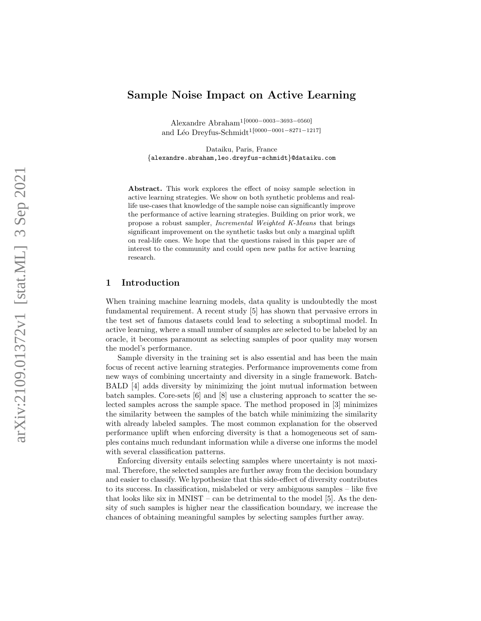# Sample Noise Impact on Active Learning

Alexandre Abraham<sup>1</sup><sup>[0000–0003–3693–0560]</sup> and Léo Dreyfus-Schmidt<sup>1 [0000–0001–8271–1217]</sup>

Dataiku, Paris, France {alexandre.abraham,leo.dreyfus-schmidt }@dataiku.com

Abstract. This work explores the effect of noisy sample selection in active learning strategies. We show on both synthetic problems and reallife use-cases that knowledge of the sample noise can significantly improve the performance of active learning strategies. Building on prior work, we propose a robust sampler, Incremental Weighted K-Means that brings significant improvement on the synthetic tasks but only a marginal uplift on real-life ones. We hope that the questions raised in this paper are of interest to the community and could open new paths for active learning research.

## 1 Introduction

When training machine learning models, data quality is undoubtedly the most fundamental requirement. A recent study [\[5\]](#page-8-0) has shown that pervasive errors in the test set of famous datasets could lead to selecting a suboptimal model. In active learning, where a small number of samples are selected to be labeled by an oracle, it becomes paramount as selecting samples of poor quality may worsen the model's performance.

Sample diversity in the training set is also essential and has been the main focus of recent active learning strategies. Performance improvements come from new ways of combining uncertainty and diversity in a single framework. Batch-BALD [\[4\]](#page-8-1) adds diversity by minimizing the joint mutual information between batch samples. Core-sets [\[6\]](#page-8-2) and [\[8\]](#page-8-3) use a clustering approach to scatter the selected samples across the sample space. The method proposed in [\[3\]](#page-8-4) minimizes the similarity between the samples of the batch while minimizing the similarity with already labeled samples. The most common explanation for the observed performance uplift when enforcing diversity is that a homogeneous set of samples contains much redundant information while a diverse one informs the model with several classification patterns.

Enforcing diversity entails selecting samples where uncertainty is not maximal. Therefore, the selected samples are further away from the decision boundary and easier to classify. We hypothesize that this side-effect of diversity contributes to its success. In classification, mislabeled or very ambiguous samples – like five that looks like six in MNIST – can be detrimental to the model [\[5\]](#page-8-0). As the density of such samples is higher near the classification boundary, we increase the chances of obtaining meaningful samples by selecting samples further away.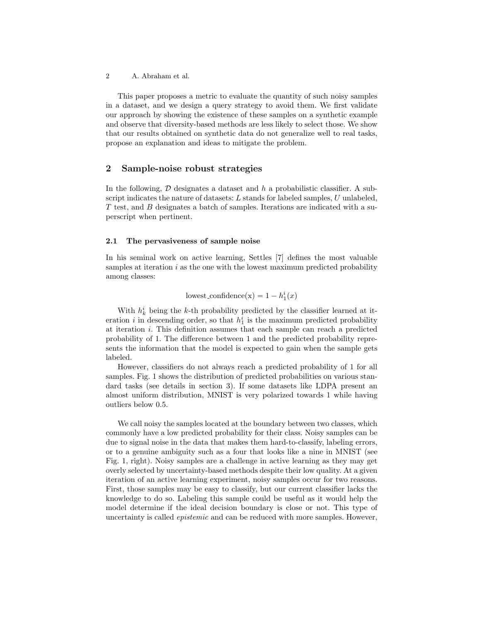This paper proposes a metric to evaluate the quantity of such noisy samples in a dataset, and we design a query strategy to avoid them. We first validate our approach by showing the existence of these samples on a synthetic example and observe that diversity-based methods are less likely to select those. We show that our results obtained on synthetic data do not generalize well to real tasks, propose an explanation and ideas to mitigate the problem.

## 2 Sample-noise robust strategies

In the following,  $D$  designates a dataset and  $h$  a probabilistic classifier. A subscript indicates the nature of datasets:  $L$  stands for labeled samples,  $U$  unlabeled, T test, and B designates a batch of samples. Iterations are indicated with a superscript when pertinent.

#### 2.1 The pervasiveness of sample noise

In his seminal work on active learning, Settles [\[7\]](#page-8-5) defines the most valuable samples at iteration  $i$  as the one with the lowest maximum predicted probability among classes:

lowest\_confidence(x) =  $1 - h_1^i(x)$ 

With  $h_k^i$  being the k-th probability predicted by the classifier learned at iteration *i* in descending order, so that  $h_1^i$  is the maximum predicted probability at iteration i. This definition assumes that each sample can reach a predicted probability of 1. The difference between 1 and the predicted probability represents the information that the model is expected to gain when the sample gets labeled.

However, classifiers do not always reach a predicted probability of 1 for all samples. Fig. [1](#page-2-0) shows the distribution of predicted probabilities on various standard tasks (see details in section [3\)](#page-4-0). If some datasets like LDPA present an almost uniform distribution, MNIST is very polarized towards 1 while having outliers below 0.5.

We call noisy the samples located at the boundary between two classes, which commonly have a low predicted probability for their class. Noisy samples can be due to signal noise in the data that makes them hard-to-classify, labeling errors, or to a genuine ambiguity such as a four that looks like a nine in MNIST (see Fig. [1,](#page-2-0) right). Noisy samples are a challenge in active learning as they may get overly selected by uncertainty-based methods despite their low quality. At a given iteration of an active learning experiment, noisy samples occur for two reasons. First, those samples may be easy to classify, but our current classifier lacks the knowledge to do so. Labeling this sample could be useful as it would help the model determine if the ideal decision boundary is close or not. This type of uncertainty is called epistemic and can be reduced with more samples. However,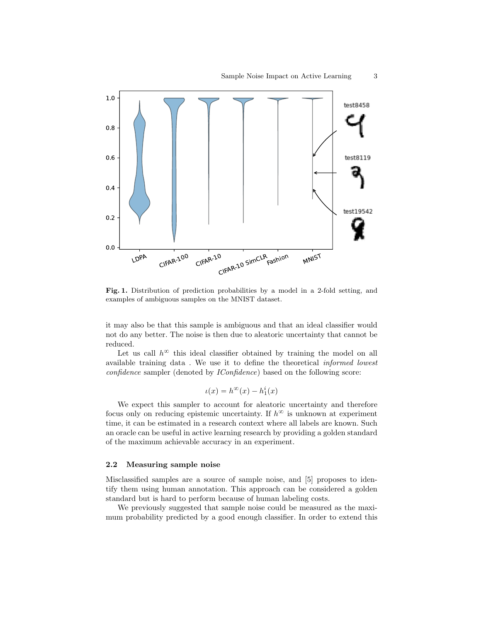

<span id="page-2-0"></span>Fig. 1. Distribution of prediction probabilities by a model in a 2-fold setting, and examples of ambiguous samples on the MNIST dataset.

it may also be that this sample is ambiguous and that an ideal classifier would not do any better. The noise is then due to aleatoric uncertainty that cannot be reduced.

Let us call  $h^{\infty}$  this ideal classifier obtained by training the model on all available training data . We use it to define the theoretical informed lowest confidence sampler (denoted by IConfidence) based on the following score:

$$
\iota(x)=h^\infty(x)-h^i_1(x)
$$

We expect this sampler to account for aleatoric uncertainty and therefore focus only on reducing epistemic uncertainty. If  $h^{\infty}$  is unknown at experiment time, it can be estimated in a research context where all labels are known. Such an oracle can be useful in active learning research by providing a golden standard of the maximum achievable accuracy in an experiment.

#### 2.2 Measuring sample noise

Misclassified samples are a source of sample noise, and [\[5\]](#page-8-0) proposes to identify them using human annotation. This approach can be considered a golden standard but is hard to perform because of human labeling costs.

We previously suggested that sample noise could be measured as the maximum probability predicted by a good enough classifier. In order to extend this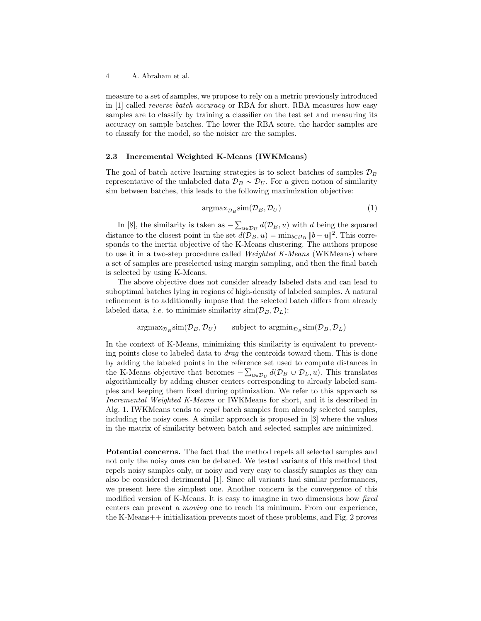measure to a set of samples, we propose to rely on a metric previously introduced in [\[1\]](#page-8-6) called reverse batch accuracy or RBA for short. RBA measures how easy samples are to classify by training a classifier on the test set and measuring its accuracy on sample batches. The lower the RBA score, the harder samples are to classify for the model, so the noisier are the samples.

#### 2.3 Incremental Weighted K-Means (IWKMeans)

The goal of batch active learning strategies is to select batches of samples  $\mathcal{D}_B$ representative of the unlabeled data  $\mathcal{D}_B \sim \mathcal{D}_U$ . For a given notion of similarity sim between batches, this leads to the following maximization objective:

$$
\arg\max_{\mathcal{D}_B} \sin(\mathcal{D}_B, \mathcal{D}_U) \tag{1}
$$

In  $[8]$ , the similarity is taken as  $_{u\in\mathcal{D}_{U}}d(\mathcal{D}_{B}, u)$  with d being the squared distance to the closest point in the set  $d(\mathcal{D}_B, u) = \min_{b \in \mathcal{D}_B} ||b - u||^2$ . This corresponds to the inertia objective of the K-Means clustering. The authors propose to use it in a two-step procedure called Weighted K-Means (WKMeans) where a set of samples are preselected using margin sampling, and then the final batch is selected by using K-Means.

The above objective does not consider already labeled data and can lead to suboptimal batches lying in regions of high-density of labeled samples. A natural refinement is to additionally impose that the selected batch differs from already labeled data, *i.e.* to minimise similarity  $\text{sim}(\mathcal{D}_B, \mathcal{D}_L)$ :

 $\arg\max_{\mathcal{D}_B} \text{sim}(\mathcal{D}_B, \mathcal{D}_U)$  subject to  $\arg\min_{\mathcal{D}_B} \text{sim}(\mathcal{D}_B, \mathcal{D}_L)$ 

In the context of K-Means, minimizing this similarity is equivalent to preventing points close to labeled data to drag the centroids toward them. This is done by adding the labeled points in the reference set used to compute distances in ř the K-Means objective that becomes  $-\sum_{u\in\mathcal{D}_U} d(\mathcal{D}_B \cup \mathcal{D}_L, u)$ . This translates algorithmically by adding cluster centers corresponding to already labeled samples and keeping them fixed during optimization. We refer to this approach as Incremental Weighted K-Means or IWKMeans for short, and it is described in Alg. [1.](#page-3-0) IWKMeans tends to repel batch samples from already selected samples, including the noisy ones. A similar approach is proposed in [\[3\]](#page-8-4) where the values in the matrix of similarity between batch and selected samples are minimized.

<span id="page-3-0"></span>Potential concerns. The fact that the method repels all selected samples and not only the noisy ones can be debated. We tested variants of this method that repels noisy samples only, or noisy and very easy to classify samples as they can also be considered detrimental [\[1\]](#page-8-6). Since all variants had similar performances, we present here the simplest one. Another concern is the convergence of this modified version of K-Means. It is easy to imagine in two dimensions how fixed centers can prevent a moving one to reach its minimum. From our experience, the K-Means++ initialization prevents most of these problems, and Fig. [2](#page-5-0) proves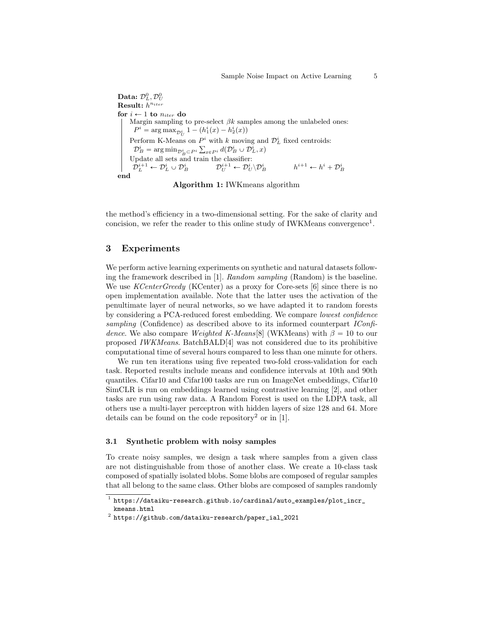$\mathbf{Data:}\ \mathcal{D}_L^0, \mathcal{D}_U^0$  $\textbf{Result:} \ h^{n_{iter}}$ for  $i \leftarrow 1$  to  $n_{iter}$  do Margin sampling to pre-select  $\beta k$  samples among the unlabeled ones:  $P^i = \arg \max_{D_{II}^i} 1 - (h_1^i(x) - h_2^i(x))$ Perform K-Means on  $P^i$  with k moving and  $\mathcal{D}_L^i$  fixed centroids:  $\mathcal{D}_B^i = \arg\min_{\mathcal{D}_B^i \subset P^i} \sum_{x \in P^i} d(\mathcal{D}_B^i \cup \mathcal{D}_L^i, x)$ Update all sets and train the classifier:  ${\mathcal{D}}_L^{i+1} \leftarrow {\mathcal{D}}_L^i \cup {\mathcal{D}}_B^i \qquad\qquad {\mathcal{D}}_U^{i+1} \leftarrow {\mathcal{D}}_U^i \backslash {\mathcal{D}}_I^i$  $h^{i+1} \leftarrow h^i + \mathcal{D}_B^i$ end



the method's efficiency in a two-dimensional setting. For the sake of clarity and concision, we refer the reader to this online study of IWKMeans convergence<sup>[1](#page-4-1)</sup>.

## <span id="page-4-0"></span>3 Experiments

We perform active learning experiments on synthetic and natural datasets following the framework described in [\[1\]](#page-8-6). Random sampling (Random) is the baseline. We use *KCenterGreedy* (KCenter) as a proxy for Core-sets [\[6\]](#page-8-2) since there is no open implementation available. Note that the latter uses the activation of the penultimate layer of neural networks, so we have adapted it to random forests by considering a PCA-reduced forest embedding. We compare lowest confidence sampling (Confidence) as described above to its informed counterpart IConfi-dence. We also compare Weighted K-Means[\[8\]](#page-8-3) (WKMeans) with  $\beta = 10$  to our proposed IWKMeans. BatchBALD[\[4\]](#page-8-1) was not considered due to its prohibitive computational time of several hours compared to less than one minute for others.

We run ten iterations using five repeated two-fold cross-validation for each task. Reported results include means and confidence intervals at 10th and 90th quantiles. Cifar10 and Cifar100 tasks are run on ImageNet embeddings, Cifar10 SimCLR is run on embeddings learned using contrastive learning [\[2\]](#page-8-7), and other tasks are run using raw data. A Random Forest is used on the LDPA task, all others use a multi-layer perceptron with hidden layers of size 128 and 64. More details can be found on the code repository<sup>[2](#page-4-2)</sup> or in [\[1\]](#page-8-6).

#### 3.1 Synthetic problem with noisy samples

To create noisy samples, we design a task where samples from a given class are not distinguishable from those of another class. We create a 10-class task composed of spatially isolated blobs. Some blobs are composed of regular samples that all belong to the same class. Other blobs are composed of samples randomly

<span id="page-4-1"></span> $^1$  [https://dataiku-research.github.io/cardinal/auto\\_examples/plot\\_incr\\_](https://dataiku-research.github.io/cardinal/auto_examples/plot_incr_kmeans.html) [kmeans.html](https://dataiku-research.github.io/cardinal/auto_examples/plot_incr_kmeans.html)

<span id="page-4-2"></span> $^{\rm 2}$  [https://github.com/dataiku-research/paper\\_ial\\_2021](https://github.com/dataiku-research/paper_ial_2021)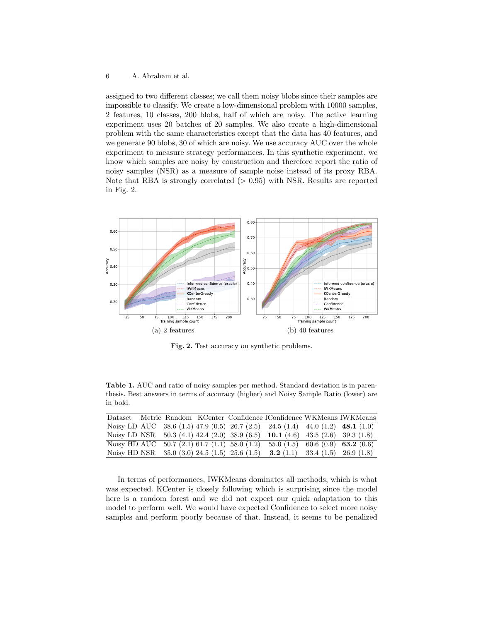assigned to two different classes; we call them noisy blobs since their samples are impossible to classify. We create a low-dimensional problem with 10000 samples, 2 features, 10 classes, 200 blobs, half of which are noisy. The active learning experiment uses 20 batches of 20 samples. We also create a high-dimensional problem with the same characteristics except that the data has 40 features, and we generate 90 blobs, 30 of which are noisy. We use accuracy AUC over the whole experiment to measure strategy performances. In this synthetic experiment, we know which samples are noisy by construction and therefore report the ratio of noisy samples (NSR) as a measure of sample noise instead of its proxy RBA. Note that RBA is strongly correlated  $(> 0.95)$  with NSR. Results are reported in Fig. [2.](#page-5-0)



<span id="page-5-0"></span>Fig. 2. Test accuracy on synthetic problems.

Table 1. AUC and ratio of noisy samples per method. Standard deviation is in parenthesis. Best answers in terms of accuracy (higher) and Noisy Sample Ratio (lower) are in bold.

|              |  |                                                 | Dataset Metric Random KCenter Confidence IConfidence WKMeans IWKMeans           |  |
|--------------|--|-------------------------------------------------|---------------------------------------------------------------------------------|--|
|              |  |                                                 | Noisy LD AUC 38.6 (1.5) 47.9 (0.5) 26.7 (2.5) 24.5 (1.4) 44.0 (1.2) 48.1 (1.0)  |  |
|              |  |                                                 | Noisy LD NSR $50.3(4.1)$ 42.4 (2.0) 38.9 (6.5) 10.1 (4.6) 43.5 (2.6) 39.3 (1.8) |  |
| Noisy HD AUC |  |                                                 | $50.7(2.1) 61.7(1.1) 58.0(1.2) 55.0(1.5) 60.6(0.9) 63.2(0.6)$                   |  |
|              |  | Noisy HD NSR $35.0$ (3.0) 24.5 (1.5) 25.6 (1.5) | <b>3.2</b> (1.1) 33.4 (1.5) 26.9 (1.8)                                          |  |

In terms of performances, IWKMeans dominates all methods, which is what was expected. KCenter is closely following which is surprising since the model here is a random forest and we did not expect our quick adaptation to this model to perform well. We would have expected Confidence to select more noisy samples and perform poorly because of that. Instead, it seems to be penalized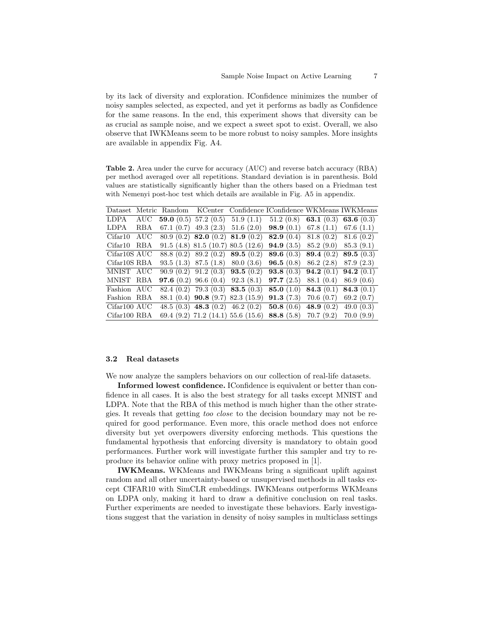by its lack of diversity and exploration. IConfidence minimizes the number of noisy samples selected, as expected, and yet it performs as badly as Confidence for the same reasons. In the end, this experiment shows that diversity can be as crucial as sample noise, and we expect a sweet spot to exist. Overall, we also observe that IWKMeans seem to be more robust to noisy samples. More insights are available in appendix Fig. [A4.](#page-9-0)

Table 2. Area under the curve for accuracy (AUC) and reverse batch accuracy (RBA) per method averaged over all repetitions. Standard deviation is in parenthesis. Bold values are statistically significantly higher than the others based on a Friedman test with Nemenyi post-hoc test which details are available in Fig. [A5](#page-10-0) in appendix.

|                           |     |  | Dataset Metric Random KCenter Confidence IConfidence WKMeans IWKMeans                  |  |
|---------------------------|-----|--|----------------------------------------------------------------------------------------|--|
| LDPA                      | AUC |  | <b>59.0</b> (0.5) 57.2 (0.5) 51.9 (1.1) 51.2 (0.8) <b>63.1</b> (0.3) <b>63.6</b> (0.3) |  |
| LDPA                      | RBA |  | 67.1 (0.7) 49.3 (2.3) 51.6 (2.0) <b>98.9</b> (0.1) 67.8 (1.1) 67.6 (1.1)               |  |
| Cifar10                   | AUC |  | 80.9 (0.2) <b>82.0</b> (0.2) <b>81.9</b> (0.2) <b>82.9</b> (0.4) 81.8 (0.2) 81.6 (0.2) |  |
| Cifar10                   | RBA |  | 91.5 (4.8) 81.5 (10.7) 80.5 (12.6) <b>94.9</b> (3.5) 85.2 (9.0) 85.3 (9.1)             |  |
| Cifar <sub>10</sub> S AUC |     |  | 88.8 (0.2) 89.2 (0.2) 89.5 (0.2) 89.6 (0.3) 89.4 (0.2) 89.5 (0.3)                      |  |
| Cifar10S RBA              |     |  | 93.5 (1.3) 87.5 (1.8) 80.0 (3.6) <b>96.5</b> (0.8) 86.2 (2.8) 87.9 (2.3)               |  |
| MNIST AUC                 |     |  | $90.9(0.2)$ $91.2(0.3)$ $93.5(0.2)$ $93.8(0.3)$ $94.2(0.1)$ $94.2(0.1)$                |  |
| MNIST RBA                 |     |  | <b>97.6</b> (0.2) 96.6 (0.4) 92.3 (8.1) <b>97.7</b> (2.5) 88.1 (0.4) 86.9 (0.6)        |  |
| Fashion AUC               |     |  | 82.4 (0.2) 79.3 (0.3) 83.5 (0.3) 85.0 (1.0) 84.3 (0.1) 84.3 (0.1)                      |  |
| Fashion RBA               |     |  | 88.1 (0.4) <b>90.8</b> (9.7) 82.3 (15.9) <b>91.3</b> (7.3) 70.6 (0.7) 69.2 (0.7)       |  |
| Cifar100 AUC              |     |  | 48.5 (0.3) 48.3 (0.2) 46.2 (0.2) 50.8 (0.6) 48.9 (0.2) 49.0 (0.3)                      |  |
| Cifar100 RBA              |     |  | 69.4 (9.2) 71.2 (14.1) 55.6 (15.6) 88.8 (5.8) 70.7 (9.2) 70.0 (9.9)                    |  |

#### 3.2 Real datasets

We now analyze the samplers behaviors on our collection of real-life datasets.

Informed lowest confidence. IConfidence is equivalent or better than confidence in all cases. It is also the best strategy for all tasks except MNIST and LDPA. Note that the RBA of this method is much higher than the other strategies. It reveals that getting too close to the decision boundary may not be required for good performance. Even more, this oracle method does not enforce diversity but yet overpowers diversity enforcing methods. This questions the fundamental hypothesis that enforcing diversity is mandatory to obtain good performances. Further work will investigate further this sampler and try to reproduce its behavior online with proxy metrics proposed in [\[1\]](#page-8-6).

IWKMeans. WKMeans and IWKMeans bring a significant uplift against random and all other uncertainty-based or unsupervised methods in all tasks except CIFAR10 with SimCLR embeddings. IWKMeans outperforms WKMeans on LDPA only, making it hard to draw a definitive conclusion on real tasks. Further experiments are needed to investigate these behaviors. Early investigations suggest that the variation in density of noisy samples in multiclass settings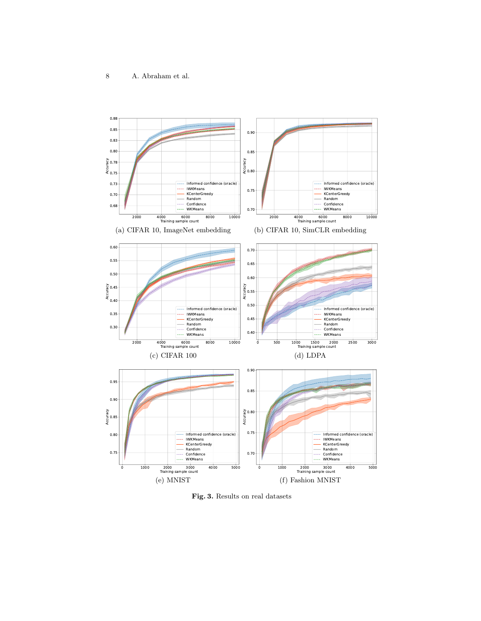

Fig. 3. Results on real datasets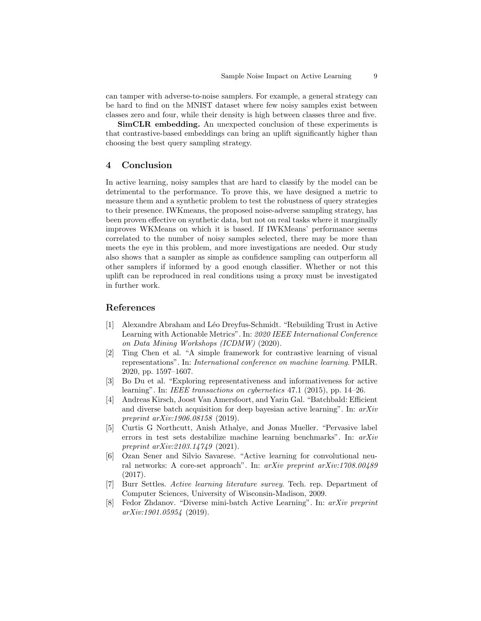can tamper with adverse-to-noise samplers. For example, a general strategy can be hard to find on the MNIST dataset where few noisy samples exist between classes zero and four, while their density is high between classes three and five.

SimCLR embedding. An unexpected conclusion of these experiments is that contrastive-based embeddings can bring an uplift significantly higher than choosing the best query sampling strategy.

#### 4 Conclusion

In active learning, noisy samples that are hard to classify by the model can be detrimental to the performance. To prove this, we have designed a metric to measure them and a synthetic problem to test the robustness of query strategies to their presence. IWKmeans, the proposed noise-adverse sampling strategy, has been proven effective on synthetic data, but not on real tasks where it marginally improves WKMeans on which it is based. If IWKMeans' performance seems correlated to the number of noisy samples selected, there may be more than meets the eye in this problem, and more investigations are needed. Our study also shows that a sampler as simple as confidence sampling can outperform all other samplers if informed by a good enough classifier. Whether or not this uplift can be reproduced in real conditions using a proxy must be investigated in further work.

## References

- <span id="page-8-6"></span>[1] Alexandre Abraham and L´eo Dreyfus-Schmidt. "Rebuilding Trust in Active Learning with Actionable Metrics". In: 2020 IEEE International Conference on Data Mining Workshops (ICDMW) (2020).
- <span id="page-8-7"></span>[2] Ting Chen et al. "A simple framework for contrastive learning of visual representations". In: International conference on machine learning. PMLR. 2020, pp. 1597–1607.
- <span id="page-8-4"></span>[3] Bo Du et al. "Exploring representativeness and informativeness for active learning". In: IEEE transactions on cybernetics 47.1 (2015), pp. 14–26.
- <span id="page-8-1"></span>[4] Andreas Kirsch, Joost Van Amersfoort, and Yarin Gal. "Batchbald: Efficient and diverse batch acquisition for deep bayesian active learning". In:  $arXiv$ preprint arXiv:1906.08158 (2019).
- <span id="page-8-0"></span>[5] Curtis G Northcutt, Anish Athalye, and Jonas Mueller. "Pervasive label errors in test sets destabilize machine learning benchmarks". In: arXiv preprint arXiv:2103.14749 (2021).
- <span id="page-8-2"></span>[6] Ozan Sener and Silvio Savarese. "Active learning for convolutional neural networks: A core-set approach". In: arXiv preprint arXiv:1708.00489 (2017).
- <span id="page-8-5"></span>[7] Burr Settles. Active learning literature survey. Tech. rep. Department of Computer Sciences, University of Wisconsin-Madison, 2009.
- <span id="page-8-3"></span>[8] Fedor Zhdanov. "Diverse mini-batch Active Learning". In: arXiv preprint arXiv:1901.05954 (2019).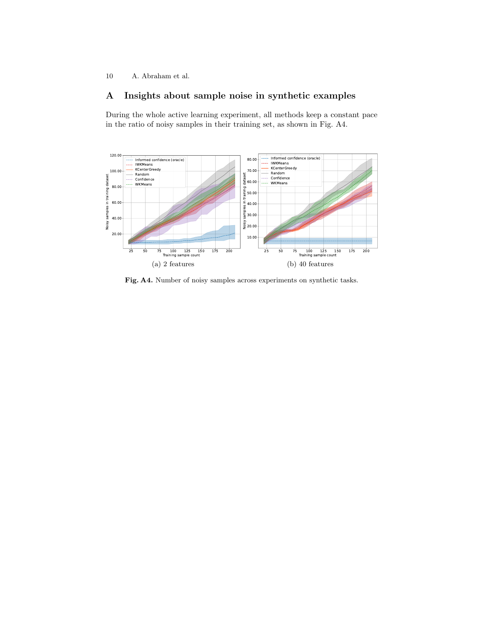# A Insights about sample noise in synthetic examples

During the whole active learning experiment, all methods keep a constant pace in the ratio of noisy samples in their training set, as shown in Fig. [A4.](#page-9-0)



<span id="page-9-0"></span>Fig. A4. Number of noisy samples across experiments on synthetic tasks.